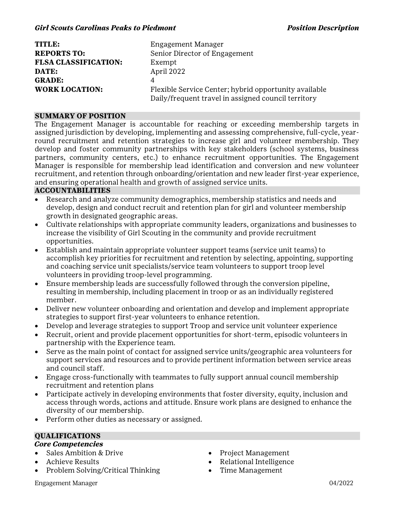| TITLE:                      | Engagement Manager                                    |
|-----------------------------|-------------------------------------------------------|
| <b>REPORTS TO:</b>          | Senior Director of Engagement                         |
| <b>FLSA CLASSIFICATION:</b> | Exempt                                                |
| DATE:                       | April 2022                                            |
| <b>GRADE:</b>               | 4                                                     |
| <b>WORK LOCATION:</b>       | Flexible Service Center; hybrid opportunity available |
|                             | Daily/frequent travel in assigned council territory   |

#### **SUMMARY OF POSITION**

The Engagement Manager is accountable for reaching or exceeding membership targets in assigned jurisdiction by developing, implementing and assessing comprehensive, full-cycle, yearround recruitment and retention strategies to increase girl and volunteer membership. They develop and foster community partnerships with key stakeholders (school systems, business partners, community centers, etc.) to enhance recruitment opportunities. The Engagement Manager is responsible for membership lead identification and conversion and new volunteer recruitment, and retention through onboarding/orientation and new leader first-year experience, and ensuring operational health and growth of assigned service units.

#### **ACCOUNTABILITIES**

- Research and analyze community demographics, membership statistics and needs and develop, design and conduct recruit and retention plan for girl and volunteer membership growth in designated geographic areas.
- · Cultivate relationships with appropriate community leaders, organizations and businesses to increase the visibility of Girl Scouting in the community and provide recruitment opportunities.
- · Establish and maintain appropriate volunteer support teams (service unit teams) to accomplish key priorities for recruitment and retention by selecting, appointing, supporting and coaching service unit specialists/service team volunteers to support troop level volunteers in providing troop-level programming.
- · Ensure membership leads are successfully followed through the conversion pipeline, resulting in membership, including placement in troop or as an individually registered member.
- Deliver new volunteer onboarding and orientation and develop and implement appropriate strategies to support first-year volunteers to enhance retention.
- Develop and leverage strategies to support Troop and service unit volunteer experience
- Recruit, orient and provide placement opportunities for short-term, episodic volunteers in partnership with the Experience team.
- · Serve as the main point of contact for assigned service units/geographic area volunteers for support services and resources and to provide pertinent information between service areas and council staff.
- · Engage cross-functionally with teammates to fully support annual council membership recruitment and retention plans
- Participate actively in developing environments that foster diversity, equity, inclusion and access through words, actions and attitude. Ensure work plans are designed to enhance the diversity of our membership.
- Perform other duties as necessary or assigned.

# **QUALIFICATIONS**

- **Core Competencies**
- Sales Ambition & Drive
- · Achieve Results
- · Problem Solving/Critical Thinking
- · Project Management
- · Relational Intelligence
- Time Management